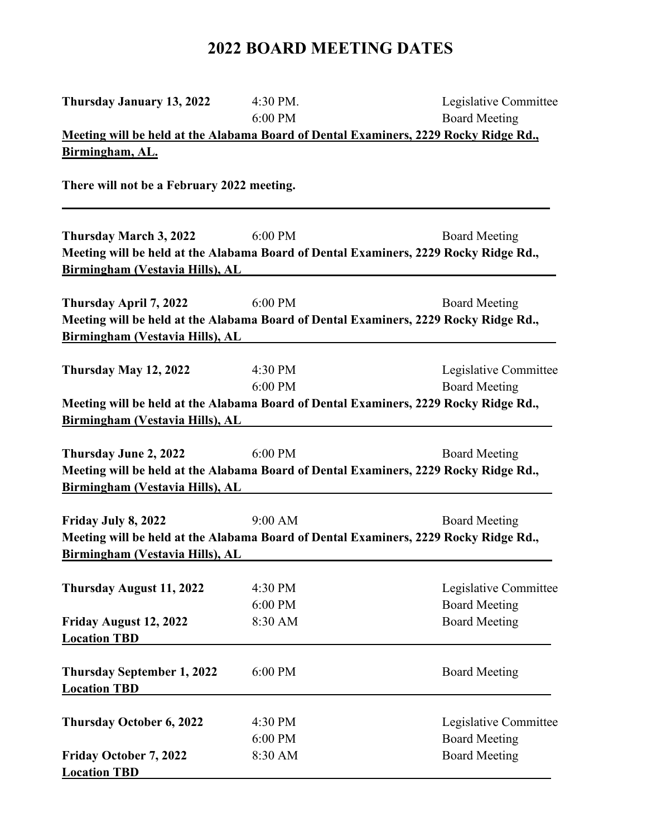## **2022 BOARD MEETING DATES**

| Thursday January 13, 2022                  | 4:30 PM.  | Legislative Committee                                                                |
|--------------------------------------------|-----------|--------------------------------------------------------------------------------------|
|                                            | 6:00 PM   | <b>Board Meeting</b>                                                                 |
|                                            |           | Meeting will be held at the Alabama Board of Dental Examiners, 2229 Rocky Ridge Rd., |
| Birmingham, AL.                            |           |                                                                                      |
| There will not be a February 2022 meeting. |           |                                                                                      |
| Thursday March 3, 2022                     | 6:00 PM   | <b>Board Meeting</b>                                                                 |
|                                            |           | Meeting will be held at the Alabama Board of Dental Examiners, 2229 Rocky Ridge Rd., |
| Birmingham (Vestavia Hills), AL            |           |                                                                                      |
|                                            |           |                                                                                      |
| Thursday April 7, 2022                     | 6:00 PM   | <b>Board Meeting</b>                                                                 |
|                                            |           | Meeting will be held at the Alabama Board of Dental Examiners, 2229 Rocky Ridge Rd., |
| Birmingham (Vestavia Hills), AL            |           |                                                                                      |
|                                            | 4:30 PM   |                                                                                      |
| Thursday May 12, 2022                      | 6:00 PM   | Legislative Committee<br><b>Board Meeting</b>                                        |
|                                            |           | Meeting will be held at the Alabama Board of Dental Examiners, 2229 Rocky Ridge Rd., |
| Birmingham (Vestavia Hills), AL            |           |                                                                                      |
|                                            |           |                                                                                      |
| Thursday June 2, 2022                      | 6:00 PM   | <b>Board Meeting</b>                                                                 |
|                                            |           | Meeting will be held at the Alabama Board of Dental Examiners, 2229 Rocky Ridge Rd., |
| Birmingham (Vestavia Hills), AL            |           |                                                                                      |
|                                            |           |                                                                                      |
| Friday July 8, 2022                        | $9:00$ AM | <b>Board Meeting</b>                                                                 |
|                                            |           | Meeting will be held at the Alabama Board of Dental Examiners, 2229 Rocky Ridge Rd., |
| Birmingham (Vestavia Hills), AL            |           |                                                                                      |
|                                            | 4:30 PM   |                                                                                      |
| Thursday August 11, 2022                   | 6:00 PM   | Legislative Committee<br><b>Board Meeting</b>                                        |
| Friday August 12, 2022                     | 8:30 AM   | <b>Board Meeting</b>                                                                 |
| <b>Location TBD</b>                        |           |                                                                                      |
|                                            |           |                                                                                      |
| <b>Thursday September 1, 2022</b>          | 6:00 PM   | <b>Board Meeting</b>                                                                 |
| <b>Location TBD</b>                        |           |                                                                                      |
|                                            |           |                                                                                      |
| <b>Thursday October 6, 2022</b>            | 4:30 PM   | Legislative Committee                                                                |
|                                            | 6:00 PM   | <b>Board Meeting</b>                                                                 |
| Friday October 7, 2022                     | 8:30 AM   | <b>Board Meeting</b>                                                                 |
| <b>Location TBD</b>                        |           |                                                                                      |